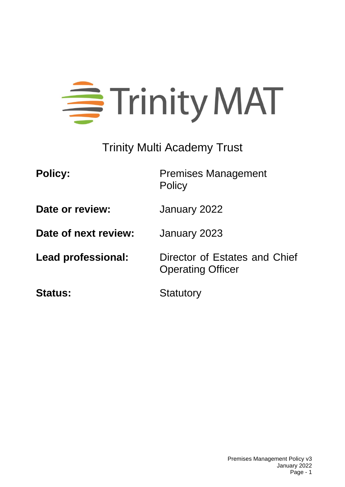

Trinity Multi Academy Trust

**Policy:** Premises Management **Policy** 

**Date or review:** January 2022

**Date of next review:** January 2023

**Lead professional:** Director of Estates and Chief Operating Officer

**Status:** Statutory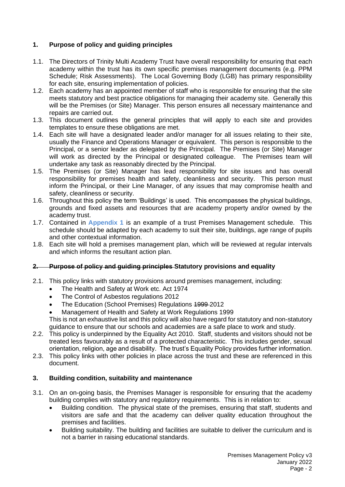# **1. Purpose of policy and guiding principles**

- 1.1. The Directors of Trinity Multi Academy Trust have overall responsibility for ensuring that each academy within the trust has its own specific premises management documents (e.g. PPM Schedule; Risk Assessments). The Local Governing Body (LGB) has primary responsibility for each site, ensuring implementation of policies.
- 1.2. Each academy has an appointed member of staff who is responsible for ensuring that the site meets statutory and best practice obligations for managing their academy site. Generally this will be the Premises (or Site) Manager. This person ensures all necessary maintenance and repairs are carried out.
- 1.3. This document outlines the general principles that will apply to each site and provides templates to ensure these obligations are met.
- 1.4. Each site will have a designated leader and/or manager for all issues relating to their site, usually the Finance and Operations Manager or equivalent. This person is responsible to the Principal, or a senior leader as delegated by the Principal. The Premises (or Site) Manager will work as directed by the Principal or designated colleague. The Premises team will undertake any task as reasonably directed by the Principal.
- 1.5. The Premises (or Site) Manager has lead responsibility for site issues and has overall responsibility for premises health and safety, cleanliness and security. This person must inform the Principal, or their Line Manager, of any issues that may compromise health and safety, cleanliness or security.
- 1.6. Throughout this policy the term 'Buildings' is used. This encompasses the physical buildings, grounds and fixed assets and resources that are academy property and/or owned by the academy trust.
- 1.7. Contained in **Appendix 1** is an example of a trust Premises Management schedule. This schedule should be adapted by each academy to suit their site, buildings, age range of pupils and other contextual information.
- 1.8. Each site will hold a premises management plan, which will be reviewed at regular intervals and which informs the resultant action plan.

#### **2. Purpose of policy and guiding principles Statutory provisions and equality**

- 2.1. This policy links with statutory provisions around premises management, including:
	- The Health and Safety at Work etc. Act 1974
	- The Control of Asbestos regulations 2012
	- The Education (School Premises) Regulations 1999 2012
	- Management of Health and Safety at Work Regulations 1999

This is not an exhaustive list and this policy will also have regard for statutory and non-statutory guidance to ensure that our schools and academies are a safe place to work and study.

- 2.2. This policy is underpinned by the Equality Act 2010. Staff, students and visitors should not be treated less favourably as a result of a protected characteristic. This includes gender, sexual orientation, religion, age and disability. The trust's Equality Policy provides further information.
- 2.3. This policy links with other policies in place across the trust and these are referenced in this document.

#### **3. Building condition, suitability and maintenance**

- 3.1. On an on-going basis, the Premises Manager is responsible for ensuring that the academy building complies with statutory and regulatory requirements. This is in relation to:
	- Building condition. The physical state of the premises, ensuring that staff, students and visitors are safe and that the academy can deliver quality education throughout the premises and facilities.
	- Building suitability. The building and facilities are suitable to deliver the curriculum and is not a barrier in raising educational standards.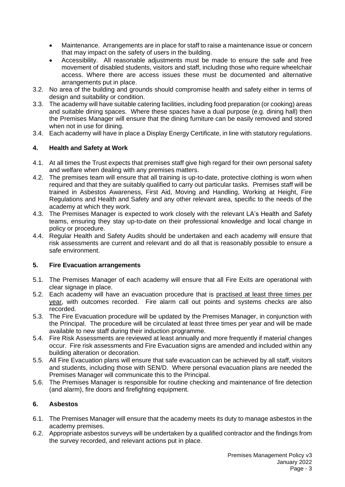- Maintenance. Arrangements are in place for staff to raise a maintenance issue or concern that may impact on the safety of users in the building.
- Accessibility. All reasonable adjustments must be made to ensure the safe and free movement of disabled students, visitors and staff, including those who require wheelchair access. Where there are access issues these must be documented and alternative arrangements put in place.
- 3.2. No area of the building and grounds should compromise health and safety either in terms of design and suitability or condition.
- 3.3. The academy will have suitable catering facilities, including food preparation (or cooking) areas and suitable dining spaces. Where these spaces have a dual purpose (e.g. dining hall) then the Premises Manager will ensure that the dining furniture can be easily removed and stored when not in use for dining.
- 3.4. Each academy will have in place a Display Energy Certificate, in line with statutory regulations.

## **4. Health and Safety at Work**

- 4.1. At all times the Trust expects that premises staff give high regard for their own personal safety and welfare when dealing with any premises matters.
- 4.2. The premises team will ensure that all training is up-to-date, protective clothing is worn when required and that they are suitably qualified to carry out particular tasks. Premises staff will be trained in Asbestos Awareness, First Aid, Moving and Handling, Working at Height, Fire Regulations and Health and Safety and any other relevant area, specific to the needs of the academy at which they work.
- 4.3. The Premises Manager is expected to work closely with the relevant LA's Health and Safety teams, ensuring they stay up-to-date on their professional knowledge and local change in policy or procedure.
- 4.4. Regular Health and Safety Audits should be undertaken and each academy will ensure that risk assessments are current and relevant and do all that is reasonably possible to ensure a safe environment.

## **5. Fire Evacuation arrangements**

- 5.1. The Premises Manager of each academy will ensure that all Fire Exits are operational with clear signage in place.
- 5.2. Each academy will have an evacuation procedure that is practised at least three times per year, with outcomes recorded. Fire alarm call out points and systems checks are also recorded.
- 5.3. The Fire Evacuation procedure will be updated by the Premises Manager, in conjunction with the Principal. The procedure will be circulated at least three times per year and will be made available to new staff during their induction programme.
- 5.4. Fire Risk Assessments are reviewed at least annually and more frequently if material changes occur. Fire risk assessments and Fire Evacuation signs are amended and included within any building alteration or decoration.
- 5.5. All Fire Evacuation plans will ensure that safe evacuation can be achieved by all staff, visitors and students, including those with SEN/D. Where personal evacuation plans are needed the Premises Manager will communicate this to the Principal.
- 5.6. The Premises Manager is responsible for routine checking and maintenance of fire detection (and alarm), fire doors and firefighting equipment.

## **6. Asbestos**

- 6.1. The Premises Manager will ensure that the academy meets its duty to manage asbestos in the academy premises.
- 6.2. Appropriate asbestos surveys will be undertaken by a qualified contractor and the findings from the survey recorded, and relevant actions put in place.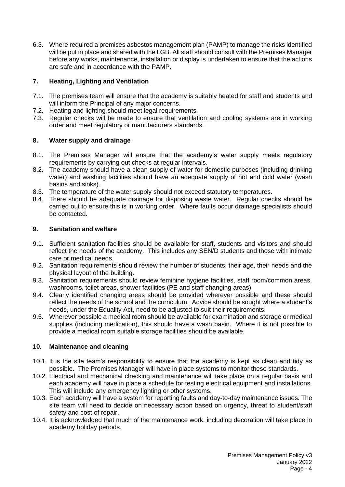6.3. Where required a premises asbestos management plan (PAMP) to manage the risks identified will be put in place and shared with the LGB. All staff should consult with the Premises Manager before any works, maintenance, installation or display is undertaken to ensure that the actions are safe and in accordance with the PAMP.

## **7. Heating, Lighting and Ventilation**

- 7.1. The premises team will ensure that the academy is suitably heated for staff and students and will inform the Principal of any major concerns.
- 7.2. Heating and lighting should meet legal requirements.
- 7.3. Regular checks will be made to ensure that ventilation and cooling systems are in working order and meet regulatory or manufacturers standards.

## **8. Water supply and drainage**

- 8.1. The Premises Manager will ensure that the academy's water supply meets regulatory requirements by carrying out checks at regular intervals.
- 8.2. The academy should have a clean supply of water for domestic purposes (including drinking water) and washing facilities should have an adequate supply of hot and cold water (wash basins and sinks).
- 8.3. The temperature of the water supply should not exceed statutory temperatures.
- 8.4. There should be adequate drainage for disposing waste water. Regular checks should be carried out to ensure this is in working order. Where faults occur drainage specialists should be contacted.

## **9. Sanitation and welfare**

- 9.1. Sufficient sanitation facilities should be available for staff, students and visitors and should reflect the needs of the academy. This includes any SEN/D students and those with intimate care or medical needs.
- 9.2. Sanitation requirements should review the number of students, their age, their needs and the physical layout of the building.
- 9.3. Sanitation requirements should review feminine hygiene facilities, staff room/common areas, washrooms, toilet areas, shower facilities (PE and staff changing areas)
- 9.4. Clearly identified changing areas should be provided wherever possible and these should reflect the needs of the school and the curriculum. Advice should be sought where a student's needs, under the Equality Act, need to be adjusted to suit their requirements.
- 9.5. Wherever possible a medical room should be available for examination and storage or medical supplies (including medication), this should have a wash basin. Where it is not possible to provide a medical room suitable storage facilities should be available.

## **10. Maintenance and cleaning**

- 10.1. It is the site team's responsibility to ensure that the academy is kept as clean and tidy as possible. The Premises Manager will have in place systems to monitor these standards.
- 10.2. Electrical and mechanical checking and maintenance will take place on a regular basis and each academy will have in place a schedule for testing electrical equipment and installations. This will include any emergency lighting or other systems.
- 10.3. Each academy will have a system for reporting faults and day-to-day maintenance issues. The site team will need to decide on necessary action based on urgency, threat to student/staff safety and cost of repair.
- 10.4. It is acknowledged that much of the maintenance work, including decoration will take place in academy holiday periods.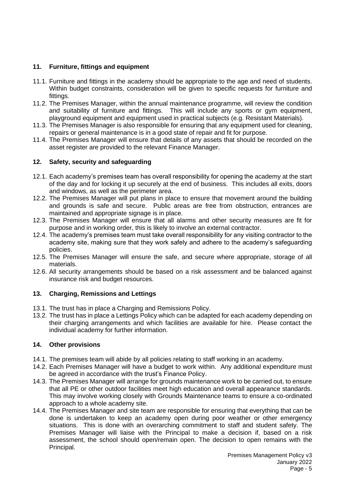## **11. Furniture, fittings and equipment**

- 11.1. Furniture and fittings in the academy should be appropriate to the age and need of students. Within budget constraints, consideration will be given to specific requests for furniture and fittings.
- 11.2. The Premises Manager, within the annual maintenance programme, will review the condition and suitability of furniture and fittings. This will include any sports or gym equipment, playground equipment and equipment used in practical subjects (e.g. Resistant Materials).
- 11.3. The Premises Manager is also responsible for ensuring that any equipment used for cleaning, repairs or general maintenance is in a good state of repair and fit for purpose.
- 11.4. The Premises Manager will ensure that details of any assets that should be recorded on the asset register are provided to the relevant Finance Manager.

#### **12. Safety, security and safeguarding**

- 12.1. Each academy's premises team has overall responsibility for opening the academy at the start of the day and for locking it up securely at the end of business. This includes all exits, doors and windows, as well as the perimeter area.
- 12.2. The Premises Manager will put plans in place to ensure that movement around the building and grounds is safe and secure. Public areas are free from obstruction, entrances are maintained and appropriate signage is in place.
- 12.3. The Premises Manager will ensure that all alarms and other security measures are fit for purpose and in working order, this is likely to involve an external contractor.
- 12.4. The academy's premises team must take overall responsibility for any visiting contractor to the academy site, making sure that they work safely and adhere to the academy's safeguarding policies.
- 12.5. The Premises Manager will ensure the safe, and secure where appropriate, storage of all materials.
- 12.6. All security arrangements should be based on a risk assessment and be balanced against insurance risk and budget resources.

#### **13. Charging, Remissions and Lettings**

- 13.1. The trust has in place a Charging and Remissions Policy.
- 13.2. The trust has in place a Lettings Policy which can be adapted for each academy depending on their charging arrangements and which facilities are available for hire. Please contact the individual academy for further information.

## **14. Other provisions**

- 14.1. The premises team will abide by all policies relating to staff working in an academy.
- 14.2. Each Premises Manager will have a budget to work within. Any additional expenditure must be agreed in accordance with the trust's Finance Policy.
- 14.3. The Premises Manager will arrange for grounds maintenance work to be carried out, to ensure that all PE or other outdoor facilities meet high education and overall appearance standards. This may involve working closely with Grounds Maintenance teams to ensure a co-ordinated approach to a whole academy site.
- 14.4. The Premises Manager and site team are responsible for ensuring that everything that can be done is undertaken to keep an academy open during poor weather or other emergency situations. This is done with an overarching commitment to staff and student safety. The Premises Manager will liaise with the Principal to make a decision if, based on a risk assessment, the school should open/remain open. The decision to open remains with the Principal.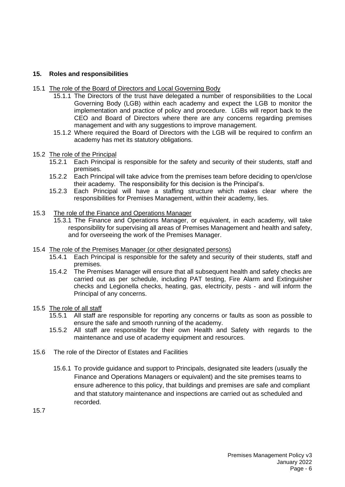#### **15. Roles and responsibilities**

- 15.1 The role of the Board of Directors and Local Governing Body
	- 15.1.1 The Directors of the trust have delegated a number of responsibilities to the Local Governing Body (LGB) within each academy and expect the LGB to monitor the implementation and practice of policy and procedure. LGBs will report back to the CEO and Board of Directors where there are any concerns regarding premises management and with any suggestions to improve management.
	- 15.1.2 Where required the Board of Directors with the LGB will be required to confirm an academy has met its statutory obligations.
- 15.2 The role of the Principal<br>15.2.1 Each Principal
	- Each Principal is responsible for the safety and security of their students, staff and premises.
	- 15.2.2 Each Principal will take advice from the premises team before deciding to open/close their academy. The responsibility for this decision is the Principal's.
	- 15.2.3 Each Principal will have a staffing structure which makes clear where the responsibilities for Premises Management, within their academy, lies.
- 15.3 The role of the Finance and Operations Manager
	- 15.3.1 The Finance and Operations Manager, or equivalent, in each academy, will take responsibility for supervising all areas of Premises Management and health and safety, and for overseeing the work of the Premises Manager.
- 15.4 The role of the Premises Manager (or other designated persons)
	- 15.4.1 Each Principal is responsible for the safety and security of their students, staff and premises.
	- 15.4.2 The Premises Manager will ensure that all subsequent health and safety checks are carried out as per schedule, including PAT testing, Fire Alarm and Extinguisher checks and Legionella checks, heating, gas, electricity, pests - and will inform the Principal of any concerns.
- 15.5 The role of all staff
	- 15.5.1 All staff are responsible for reporting any concerns or faults as soon as possible to ensure the safe and smooth running of the academy.
	- 15.5.2 All staff are responsible for their own Health and Safety with regards to the maintenance and use of academy equipment and resources.
- 15.6 The role of the Director of Estates and Facilities
	- 15.6.1 To provide guidance and support to Principals, designated site leaders (usually the Finance and Operations Managers or equivalent) and the site premises teams to ensure adherence to this policy, that buildings and premises are safe and compliant and that statutory maintenance and inspections are carried out as scheduled and recorded.

15.7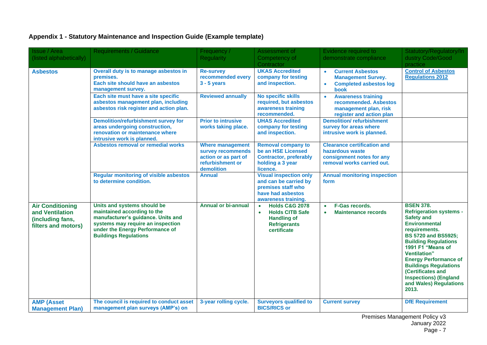# **Appendix 1 - Statutory Maintenance and Inspection Guide (Example template)**

| <b>Issue / Area</b><br>(listed alphabetically)                                        | <b>Requirements / Guidance</b>                                                                                                                                                                           | Frequency /<br><b>Regularity</b>                                                                       | Assessment of<br>Competency of                                                                                                            | Evidence required to<br>demonstrate compliance                                                                          | Statutory/Regulatory/In<br>dustry Code/Good                                                                                                                                                                                                                                                                                                                                        |
|---------------------------------------------------------------------------------------|----------------------------------------------------------------------------------------------------------------------------------------------------------------------------------------------------------|--------------------------------------------------------------------------------------------------------|-------------------------------------------------------------------------------------------------------------------------------------------|-------------------------------------------------------------------------------------------------------------------------|------------------------------------------------------------------------------------------------------------------------------------------------------------------------------------------------------------------------------------------------------------------------------------------------------------------------------------------------------------------------------------|
| <b>Asbestos</b>                                                                       | Overall duty is to manage asbestos in<br>premises.<br>Each site should have an asbestos<br>management survey.                                                                                            | <b>Re-survey</b><br>recommended every<br>$3 - 5$ years                                                 | Contractor<br><b>UKAS Accredited</b><br>company for testing<br>and inspection.                                                            | <b>Current Asbestos</b><br>$\bullet$<br><b>Management Survey.</b><br><b>Completed asbestos log</b><br>$\bullet$<br>book | practice<br><b>Control of Asbestos</b><br><b>Regulations 2012</b>                                                                                                                                                                                                                                                                                                                  |
|                                                                                       | Each site must have a site specific<br>asbestos management plan, including<br>asbestos risk register and action plan.                                                                                    | <b>Reviewed annually</b>                                                                               | No specific skills<br>required, but asbestos<br>awareness training<br>recommended.                                                        | <b>Awareness training</b><br>$\bullet$<br>recommended. Asbestos<br>management plan, risk<br>register and action plan    |                                                                                                                                                                                                                                                                                                                                                                                    |
|                                                                                       | <b>Demolition/refurbishment survey for</b><br>areas undergoing construction,<br>renovation or maintenance where<br>intrusive work is planned.                                                            | <b>Prior to intrusive</b><br>works taking place.                                                       | <b>UHAS Accredited</b><br>company for testing<br>and inspection.                                                                          | <b>Demolition/refurbishment</b><br>survey for areas where<br>intrusive work is planned.                                 |                                                                                                                                                                                                                                                                                                                                                                                    |
|                                                                                       | Asbestos removal or remedial works                                                                                                                                                                       | <b>Where management</b><br>survey recommends<br>action or as part of<br>refurbishment or<br>demolition | <b>Removal company to</b><br>be an HSE Licensed<br><b>Contractor, preferably</b><br>holding a 3 year<br>licence.                          | <b>Clearance certification and</b><br>hazardous waste<br>consignment notes for any<br>removal works carried out.        |                                                                                                                                                                                                                                                                                                                                                                                    |
|                                                                                       | <b>Regular monitoring of visible asbestos</b><br>to determine condition.                                                                                                                                 | <b>Annual</b>                                                                                          | <b>Visual inspection only</b><br>and can be carried by<br>premises staff who<br>have had asbestos<br>awareness training.                  | <b>Annual monitoring inspection</b><br>form                                                                             |                                                                                                                                                                                                                                                                                                                                                                                    |
| <b>Air Conditioning</b><br>and Ventilation<br>(including fans,<br>filters and motors) | Units and systems should be<br>maintained according to the<br>manufacturer's guidance. Units and<br>systems may require an inspection<br>under the Energy Performance of<br><b>Buildings Regulations</b> | <b>Annual or bi-annual</b>                                                                             | <b>Holds C&amp;G 2078</b><br>$\bullet$<br><b>Holds CITB Safe</b><br>$\bullet$<br><b>Handling of</b><br><b>Refrigerants</b><br>certificate | F-Gas records.<br>$\bullet$<br><b>Maintenance records</b><br>$\bullet$                                                  | <b>BSEN 378.</b><br><b>Refrigeration systems -</b><br><b>Safety and</b><br><b>Environmental</b><br>requirements.<br><b>BS 5720 and BS5925;</b><br><b>Building Regulations</b><br>1991 F1 "Means of<br><b>Ventilation</b> "<br><b>Energy Performance of</b><br><b>Buildings Regulations</b><br>(Certificates and<br><b>Inspections) (England</b><br>and Wales) Regulations<br>2013. |
| <b>AMP (Asset</b><br><b>Management Plan)</b>                                          | The council is required to conduct asset<br>management plan surveys (AMP's) on                                                                                                                           | 3-year rolling cycle.                                                                                  | <b>Surveyors qualified to</b><br><b>BICS/RICS or</b>                                                                                      | <b>Current survey</b>                                                                                                   | <b>DfE Requirement</b>                                                                                                                                                                                                                                                                                                                                                             |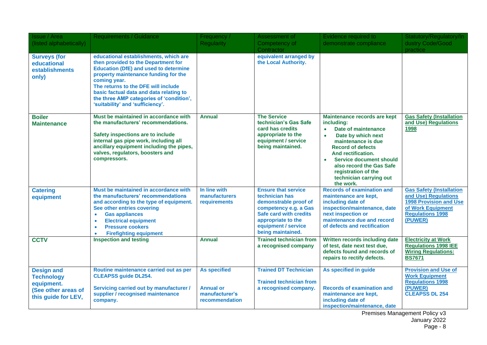| Issue / Area<br>(listed alphabetically)                                                            | <b>Requirements / Guidance</b>                                                                                                                                                                                                                                                                                                                         | Frequency /<br><b>Regularity</b>                                            | Assessment of<br>Competency of<br>Contractor                                                                                                                                               | Evidence required to<br>demonstrate compliance                                                                                                                                                                                                                                                                                      | Statutory/Regulatory/In<br>dustry Code/Good<br>practice                                                                                      |
|----------------------------------------------------------------------------------------------------|--------------------------------------------------------------------------------------------------------------------------------------------------------------------------------------------------------------------------------------------------------------------------------------------------------------------------------------------------------|-----------------------------------------------------------------------------|--------------------------------------------------------------------------------------------------------------------------------------------------------------------------------------------|-------------------------------------------------------------------------------------------------------------------------------------------------------------------------------------------------------------------------------------------------------------------------------------------------------------------------------------|----------------------------------------------------------------------------------------------------------------------------------------------|
| <b>Surveys (for</b><br>educational<br>establishments<br>only)                                      | educational establishments, which are<br>then provided to the Department for<br><b>Education (DfE) and used to determine</b><br>property maintenance funding for the<br>coming year.<br>The returns to the DFE will include<br>basic factual data and data relating to<br>the three AMP categories of 'condition',<br>'suitability' and 'sufficiency'. |                                                                             | equivalent arranged by<br>the Local Authority.                                                                                                                                             |                                                                                                                                                                                                                                                                                                                                     |                                                                                                                                              |
| <b>Boiler</b><br><b>Maintenance</b>                                                                | Must be maintained in accordance with<br>the manufacturers' recommendations.<br>Safety inspections are to include<br>internal gas pipe work, including all<br>ancillary equipment including the pipes,<br>valves, regulators, boosters and<br>compressors.                                                                                             | <b>Annual</b>                                                               | <b>The Service</b><br>technician's Gas Safe<br>card has credits<br>appropriate to the<br>equipment / service<br>being maintained.                                                          | Maintenance records are kept<br>including:<br>Date of maintenance<br>$\bullet$<br>Date by which next<br>$\bullet$<br>maintenance is due<br><b>Record of defects</b><br>And rectification.<br><b>Service document should</b><br>$\bullet$<br>also record the Gas Safe<br>registration of the<br>technician carrying out<br>the work. | <b>Gas Safety (Installation</b><br>and Use) Regulations<br>1998                                                                              |
| <b>Catering</b><br>equipment                                                                       | Must be maintained in accordance with<br>the manufacturers' recommendations<br>and according to the type of equipment.<br>See other entries covering<br><b>Gas appliances</b><br>$\bullet$<br><b>Electrical equipment</b><br>$\bullet$<br><b>Pressure cookers</b><br>$\bullet$<br><b>Firefighting equipment</b><br>$\bullet$                           | In line with<br>manufacturers<br>requirements                               | <b>Ensure that service</b><br>technician has<br>demonstrable proof of<br>competency e.g. a Gas<br>Safe card with credits<br>appropriate to the<br>equipment / service<br>being maintained. | <b>Records of examination and</b><br>maintenance are kept,<br>including date of<br>inspection/maintenance, date<br>next inspection or<br>maintenance due and record<br>of defects and rectification                                                                                                                                 | <b>Gas Safety (Installation</b><br>and Use) Regulations<br>1998 Provision and Use<br>of Work Equipment<br><b>Regulations 1998</b><br>(PUWER) |
| <b>CCTV</b>                                                                                        | <b>Inspection and testing</b>                                                                                                                                                                                                                                                                                                                          | <b>Annual</b>                                                               | <b>Trained technician from</b><br>a recognised company                                                                                                                                     | Written records including date<br>of test, date next test due,<br>defects found and records of<br>repairs to rectify defects.                                                                                                                                                                                                       | <b>Electricity at Work</b><br><b>Regulations 1998 IEE</b><br><b>Wiring Regulations:</b><br><b>BS7671</b>                                     |
| <b>Design and</b><br><b>Technology</b><br>equipment.<br>(See other areas of<br>this guide for LEV, | Routine maintenance carried out as per<br><b>CLEAPSS guide DL254.</b><br><b>Servicing carried out by manufacturer /</b><br>supplier / recognised maintenance<br>company.                                                                                                                                                                               | <b>As specified</b><br><b>Annual or</b><br>manufacturer's<br>recommendation | <b>Trained DT Technician</b><br><b>Trained technician from</b><br>a recognised company.                                                                                                    | As specified in guide<br><b>Records of examination and</b><br>maintenance are kept,<br>including date of<br>inspection/maintenance, date                                                                                                                                                                                            | <b>Provision and Use of</b><br><b>Work Equipment</b><br><b>Regulations 1998</b><br>(PUWER)<br><b>CLEAPSS DL 254</b>                          |

Premises Management Policy v3 January 2022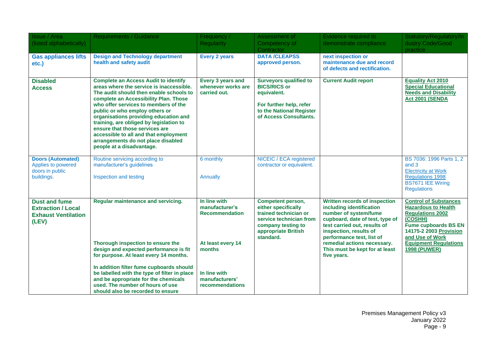| <b>Issue / Area</b><br>(listed alphabetically)                                           | <b>Requirements / Guidance</b>                                                                                                                                                                                                                                                                                                                                                                                                                                                          | Frequency /<br><b>Regularity</b>                                                                                                            | Assessment of<br>Competency of<br>Contractor                                                                                                                  | Evidence required to<br>demonstrate compliance                                                                                                                                                                                                                                               | Statutory/Regulatory/In<br>dustry Code/Good<br>practice                                                                                                                                                                             |
|------------------------------------------------------------------------------------------|-----------------------------------------------------------------------------------------------------------------------------------------------------------------------------------------------------------------------------------------------------------------------------------------------------------------------------------------------------------------------------------------------------------------------------------------------------------------------------------------|---------------------------------------------------------------------------------------------------------------------------------------------|---------------------------------------------------------------------------------------------------------------------------------------------------------------|----------------------------------------------------------------------------------------------------------------------------------------------------------------------------------------------------------------------------------------------------------------------------------------------|-------------------------------------------------------------------------------------------------------------------------------------------------------------------------------------------------------------------------------------|
| <b>Gas appliances lifts</b><br>etc.)                                                     | <b>Design and Technology department</b><br>health and safety audit                                                                                                                                                                                                                                                                                                                                                                                                                      | <b>Every 2 years</b>                                                                                                                        | <b>DATA /CLEAPSS</b><br>approved person.                                                                                                                      | next inspection or<br>maintenance due and record<br>of defects and rectification.                                                                                                                                                                                                            |                                                                                                                                                                                                                                     |
| <b>Disabled</b><br><b>Access</b>                                                         | <b>Complete an Access Audit to identify</b><br>areas where the service is inaccessible.<br>The audit should then enable schools to<br>complete an Accessibility Plan. Those<br>who offer services to members of the<br>public or who employ others or<br>organisations providing education and<br>training, are obliged by legislation to<br>ensure that those services are<br>accessible to all and that employment<br>arrangements do not place disabled<br>people at a disadvantage. | Every 3 years and<br>whenever works are<br>carried out.                                                                                     | <b>Surveyors qualified to</b><br><b>BICS/RICS or</b><br>equivalent.<br>For further help, refer<br>to the National Register<br>of Access Consultants.          | <b>Current Audit report</b>                                                                                                                                                                                                                                                                  | <b>Equality Act 2010</b><br><b>Special Educational</b><br><b>Needs and Disability</b><br><b>Act 2001 (SENDA</b>                                                                                                                     |
| <b>Doors (Automated)</b><br>Applies to powered<br>doors in public<br>buildings.          | Routine servicing according to<br>manufacturer's guidelines<br>Inspection and testing                                                                                                                                                                                                                                                                                                                                                                                                   | 6 monthly<br>Annually                                                                                                                       | NICEIC / ECA registered<br>contractor or equivalent.                                                                                                          |                                                                                                                                                                                                                                                                                              | BS 7036: 1996 Parts 1, 2<br>and 3<br><b>Electricity at Work</b><br><b>Regulations 1998</b><br>BS7671 IEE Wiring<br><b>Regulations</b>                                                                                               |
| <b>Dust and fume</b><br><b>Extraction / Local</b><br><b>Exhaust Ventilation</b><br>(LEV) | Regular maintenance and servicing.<br>Thorough inspection to ensure the<br>design and expected performance is fit<br>for purpose. At least every 14 months.<br>In addition filter fume cupboards should<br>be labelled with the type of filter in place<br>and be appropriate for the chemicals<br>used. The number of hours of use<br>should also be recorded to ensure                                                                                                                | In line with<br>manufacturer's<br><b>Recommendation</b><br>At least every 14<br>months<br>In line with<br>manufacturers'<br>recommendations | <b>Competent person,</b><br>either specifically<br>trained technician or<br>service technician from<br>company testing to<br>appropriate British<br>standard. | Written records of inspection<br>including identification<br>number of system/fume<br>cupboard, date of test, type of<br>test carried out, results of<br>inspection, results of<br>performance test, list of<br>remedial actions necessary.<br>This must be kept for at least<br>five years. | <b>Control of Substances</b><br><b>Hazardous to Health</b><br><b>Regulations 2002</b><br>(COSHH)<br><b>Fume cupboards BS EN</b><br>14175-2 2003 Provision<br>and Use of Work<br><b>Equipment Regulations</b><br><b>1998 (PUWER)</b> |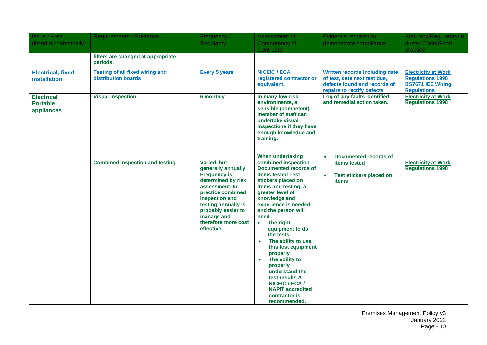| <b>Issue / Area</b><br>(listed alphabetically)     | Requirements / Guidance                                       | Frequency /<br><b>Regularity</b>                                                                                                                                                                                                        | Assessment of<br>Competency of                                                                                                                                                                                                                                                                                                                                                                                                                                                                                                                      | Evidence required to<br>demonstrate compliance                                                                               | Statutory/Regulatory/In<br>dustry Code/Good                                                             |
|----------------------------------------------------|---------------------------------------------------------------|-----------------------------------------------------------------------------------------------------------------------------------------------------------------------------------------------------------------------------------------|-----------------------------------------------------------------------------------------------------------------------------------------------------------------------------------------------------------------------------------------------------------------------------------------------------------------------------------------------------------------------------------------------------------------------------------------------------------------------------------------------------------------------------------------------------|------------------------------------------------------------------------------------------------------------------------------|---------------------------------------------------------------------------------------------------------|
|                                                    |                                                               |                                                                                                                                                                                                                                         | Contractor                                                                                                                                                                                                                                                                                                                                                                                                                                                                                                                                          |                                                                                                                              | practice                                                                                                |
|                                                    | filters are changed at appropriate<br>periods.                |                                                                                                                                                                                                                                         |                                                                                                                                                                                                                                                                                                                                                                                                                                                                                                                                                     |                                                                                                                              |                                                                                                         |
| <b>Electrical, fixed</b><br><b>installation</b>    | <b>Testing of all fixed wiring and</b><br>distribution boards | <b>Every 5 years</b>                                                                                                                                                                                                                    | <b>NICEIC / ECA</b><br>registered contractor or<br>equivalent.                                                                                                                                                                                                                                                                                                                                                                                                                                                                                      | Written records including date<br>of test, date next test due,<br>defects found and records of<br>repairs to rectify defects | <b>Electricity at Work</b><br><b>Regulations 1998</b><br><b>BS7671 IEE Wiring</b><br><b>Regulations</b> |
| <b>Electrical</b><br><b>Portable</b><br>appliances | <b>Visual inspection</b>                                      | 6 monthly                                                                                                                                                                                                                               | In many low-risk<br>environments, a<br>sensible (competent)<br>member of staff can<br>undertake visual<br>inspections if they have<br>enough knowledge and<br>training.                                                                                                                                                                                                                                                                                                                                                                             | Log of any faults identified<br>and remedial action taken.                                                                   | <b>Electricity at Work</b><br><b>Regulations 1998</b>                                                   |
|                                                    | <b>Combined inspection and testing</b>                        | Varied, but<br>generally annually<br><b>Frequency is</b><br>determined by risk<br>assessment. In<br>practice combined<br>inspection and<br>testing annually is<br>probably easier to<br>manage and<br>therefore more cost<br>effective. | <b>When undertaking</b><br>combined inspection<br>Documented records of<br><b>items tested Test</b><br>stickers placed on<br>items and testing, a<br>greater level of<br>knowledge and<br>experience is needed,<br>and the person will<br>need:<br>The right<br>$\bullet$<br>equipment to do<br>the tests<br>The ability to use<br>$\bullet$<br>this test equipment<br>properly<br>The ability to<br>$\bullet$<br>properly<br>understand the<br>test results A<br><b>NICEIC / ECA /</b><br><b>NAPIT accredited</b><br>contractor is<br>recommended. | Documented records of<br>$\bullet$<br><b>items tested</b><br><b>Test stickers placed on</b><br>$\bullet$<br><b>items</b>     | <b>Electricity at Work</b><br><b>Regulations 1998</b>                                                   |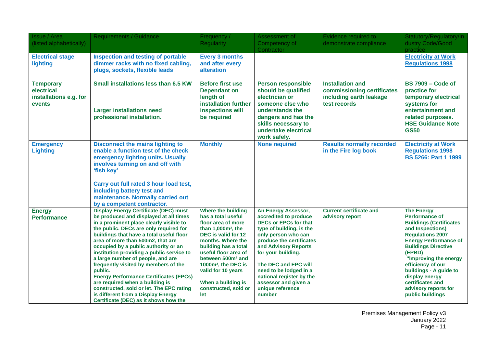| Issue / Area<br>(listed alphabetically)                            | <b>Requirements / Guidance</b>                                                                                                                                                                                                                                                                                                                                                                                                                                                                                                                                                                                                                           | Frequency /<br><b>Regularity</b>                                                                                                                                                                                                                                                                                                          | Assessment of<br>Competency of                                                                                                                                                                                                                                                                                                                | Evidence required to<br>demonstrate compliance                                                   | Statutory/Regulatory/In<br>dustry Code/Good                                                                                                                                                                                                                                                                                                                   |
|--------------------------------------------------------------------|----------------------------------------------------------------------------------------------------------------------------------------------------------------------------------------------------------------------------------------------------------------------------------------------------------------------------------------------------------------------------------------------------------------------------------------------------------------------------------------------------------------------------------------------------------------------------------------------------------------------------------------------------------|-------------------------------------------------------------------------------------------------------------------------------------------------------------------------------------------------------------------------------------------------------------------------------------------------------------------------------------------|-----------------------------------------------------------------------------------------------------------------------------------------------------------------------------------------------------------------------------------------------------------------------------------------------------------------------------------------------|--------------------------------------------------------------------------------------------------|---------------------------------------------------------------------------------------------------------------------------------------------------------------------------------------------------------------------------------------------------------------------------------------------------------------------------------------------------------------|
|                                                                    |                                                                                                                                                                                                                                                                                                                                                                                                                                                                                                                                                                                                                                                          |                                                                                                                                                                                                                                                                                                                                           | Contractor                                                                                                                                                                                                                                                                                                                                    |                                                                                                  | practice                                                                                                                                                                                                                                                                                                                                                      |
| <b>Electrical stage</b><br>lighting                                | <b>Inspection and testing of portable</b><br>dimmer racks with no fixed cabling,<br>plugs, sockets, flexible leads                                                                                                                                                                                                                                                                                                                                                                                                                                                                                                                                       | <b>Every 3 months</b><br>and after every<br>alteration                                                                                                                                                                                                                                                                                    |                                                                                                                                                                                                                                                                                                                                               |                                                                                                  | <b>Electricity at Work</b><br><b>Regulations 1998</b>                                                                                                                                                                                                                                                                                                         |
| <b>Temporary</b><br>electrical<br>installations e.g. for<br>events | Small installations less than 6.5 KW<br><b>Larger installations need</b><br>professional installation.                                                                                                                                                                                                                                                                                                                                                                                                                                                                                                                                                   | <b>Before first use</b><br><b>Dependant on</b><br>length of<br>installation further<br>inspections will<br>be required                                                                                                                                                                                                                    | <b>Person responsible</b><br>should be qualified<br>electrician or<br>someone else who<br>understands the<br>dangers and has the<br>skills necessary to<br>undertake electrical<br>work safely.                                                                                                                                               | <b>Installation and</b><br>commissioning certificates<br>including earth leakage<br>test records | <b>BS 7909 - Code of</b><br>practice for<br>temporary electrical<br>systems for<br>entertainment and<br>related purposes.<br><b>HSE Guidance Note</b><br><b>GS50</b>                                                                                                                                                                                          |
| <b>Emergency</b><br><b>Lighting</b>                                | <b>Disconnect the mains lighting to</b><br>enable a function test of the check<br>emergency lighting units. Usually<br>involves turning on and off with<br>'fish key'<br>Carry out full rated 3 hour load test,<br>including battery test and<br>maintenance. Normally carried out<br>by a competent contractor.                                                                                                                                                                                                                                                                                                                                         | <b>Monthly</b>                                                                                                                                                                                                                                                                                                                            | <b>None required</b>                                                                                                                                                                                                                                                                                                                          | <b>Results normally recorded</b><br>in the Fire log book                                         | <b>Electricity at Work</b><br><b>Regulations 1998</b><br><b>BS 5266: Part 1 1999</b>                                                                                                                                                                                                                                                                          |
| <b>Energy</b><br><b>Performance</b>                                | <b>Display Energy Certificate (DEC) must</b><br>be produced and displayed at all times<br>in a prominent place clearly visible to<br>the public. DECs are only required for<br>buildings that have a total useful floor<br>area of more than 500m2, that are<br>occupied by a public authority or an<br>institution providing a public service to<br>a large number of people, and are<br>frequently visited by members of the<br>public.<br><b>Energy Performance Certificates (EPCs)</b><br>are required when a building is<br>constructed, sold or let. The EPC rating<br>is different from a Display Energy<br>Certificate (DEC) as it shows how the | <b>Where the building</b><br>has a total useful<br>floor area of more<br>than $1,000m^2$ , the<br>DEC is valid for 12<br>months. Where the<br>building has a total<br>useful floor area of<br>between 500m <sup>2</sup> and<br>1000m <sup>2</sup> , the DEC is<br>valid for 10 years<br>When a building is<br>constructed, sold or<br>let | An Energy Assessor,<br>accredited to produce<br><b>DECs or EPCs for that</b><br>type of building, is the<br>only person who can<br>produce the certificates<br>and Advisory Reports<br>for your building.<br>The DEC and EPC will<br>need to be lodged in a<br>national register by the<br>assessor and given a<br>unique reference<br>number | <b>Current certificate and</b><br>advisory report                                                | <b>The Energy</b><br><b>Performance of</b><br><b>Buildings (Certificates</b><br>and Inspections)<br><b>Regulations 2007</b><br><b>Energy Performance of</b><br><b>Buildings Directive</b><br>(EPBD)<br>"Improving the energy<br>efficiency of our<br>buildings - A guide to<br>display energy<br>certificates and<br>advisory reports for<br>public buildings |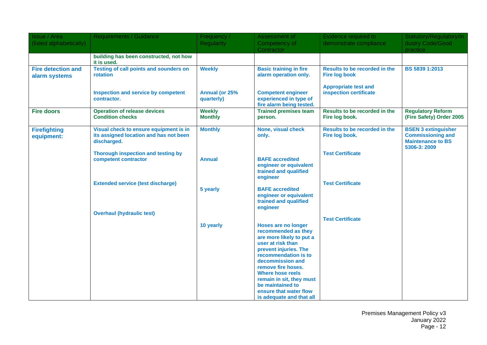| <b>Issue / Area</b>                        | <b>Requirements / Guidance</b>                                                                  | Frequency /                     | Assessment of                                                                                                                                                                                                                                                                                                           | Evidence required to                                   | Statutory/Regulatory/In                                                                            |
|--------------------------------------------|-------------------------------------------------------------------------------------------------|---------------------------------|-------------------------------------------------------------------------------------------------------------------------------------------------------------------------------------------------------------------------------------------------------------------------------------------------------------------------|--------------------------------------------------------|----------------------------------------------------------------------------------------------------|
| (listed alphabetically)                    |                                                                                                 | <b>Regularity</b>               | Competency of<br>Contractor                                                                                                                                                                                                                                                                                             | demonstrate compliance                                 | dustry Code/Good<br>practice                                                                       |
|                                            | building has been constructed, not how<br>it is used.                                           |                                 |                                                                                                                                                                                                                                                                                                                         |                                                        |                                                                                                    |
| <b>Fire detection and</b><br>alarm systems | <b>Testing of call points and sounders on</b><br>rotation                                       | <b>Weekly</b>                   | <b>Basic training in fire</b><br>alarm operation only.                                                                                                                                                                                                                                                                  | Results to be recorded in the<br><b>Fire log book</b>  | BS 5839 1:2013                                                                                     |
|                                            | <b>Inspection and service by competent</b><br>contractor.                                       | Annual (or 25%<br>quarterly)    | <b>Competent engineer</b><br>experienced in type of<br>fire alarm being tested.                                                                                                                                                                                                                                         | <b>Appropriate test and</b><br>inspection certificate  |                                                                                                    |
| <b>Fire doors</b>                          | <b>Operation of release devices</b><br><b>Condition checks</b>                                  | <b>Weekly</b><br><b>Monthly</b> | <b>Trained premises team</b><br>person.                                                                                                                                                                                                                                                                                 | Results to be recorded in the<br>Fire log book.        | <b>Regulatory Reform</b><br>(Fire Safety) Order 2005                                               |
| <b>Firefighting</b><br>equipment:          | Visual check to ensure equipment is in<br>its assigned location and has not been<br>discharged. | <b>Monthly</b>                  | None, visual check<br>only.                                                                                                                                                                                                                                                                                             | <b>Results to be recorded in the</b><br>Fire log book. | <b>BSEN 3 extinguisher</b><br><b>Commissioning and</b><br><b>Maintenance to BS</b><br>5306-3: 2009 |
|                                            | Thorough inspection and testing by<br>competent contractor                                      | <b>Annual</b>                   | <b>BAFE</b> accredited<br>engineer or equivalent<br>trained and qualified<br>engineer                                                                                                                                                                                                                                   | <b>Test Certificate</b>                                |                                                                                                    |
|                                            | <b>Extended service (test discharge)</b>                                                        | 5 yearly                        | <b>BAFE</b> accredited<br>engineer or equivalent<br>trained and qualified<br>engineer                                                                                                                                                                                                                                   | <b>Test Certificate</b>                                |                                                                                                    |
|                                            | <b>Overhaul (hydraulic test)</b>                                                                |                                 |                                                                                                                                                                                                                                                                                                                         | <b>Test Certificate</b>                                |                                                                                                    |
|                                            |                                                                                                 | 10 yearly                       | Hoses are no longer<br>recommended as they<br>are more likely to put a<br>user at risk than<br>prevent injuries. The<br>recommendation is to<br>decommission and<br>remove fire hoses.<br><b>Where hose reels</b><br>remain in sit, they must<br>be maintained to<br>ensure that water flow<br>is adequate and that all |                                                        |                                                                                                    |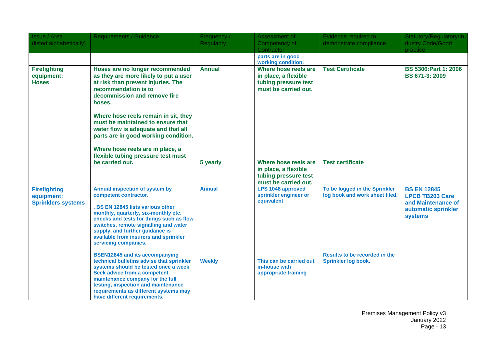| <b>Issue / Area</b><br>(listed alphabetically)                 | <b>Requirements / Guidance</b>                                                                                                                                                                                                                                                                                                | Frequency /<br><b>Regularity</b> | Assessment of<br>Competency of<br>Contractor                                                 | Evidence required to<br>demonstrate compliance                  | Statutory/Regulatory/In<br>dustry Code/Good<br>practice                                                     |
|----------------------------------------------------------------|-------------------------------------------------------------------------------------------------------------------------------------------------------------------------------------------------------------------------------------------------------------------------------------------------------------------------------|----------------------------------|----------------------------------------------------------------------------------------------|-----------------------------------------------------------------|-------------------------------------------------------------------------------------------------------------|
|                                                                |                                                                                                                                                                                                                                                                                                                               |                                  | parts are in good<br>working condition.                                                      |                                                                 |                                                                                                             |
| <b>Firefighting</b><br>equipment:<br><b>Hoses</b>              | Hoses are no longer recommended<br>as they are more likely to put a user<br>at risk than prevent injuries. The<br>recommendation is to<br>decommission and remove fire<br>hoses.                                                                                                                                              | <b>Annual</b>                    | Where hose reels are<br>in place, a flexible<br>tubing pressure test<br>must be carried out. | <b>Test Certificate</b>                                         | <b>BS 5306:Part 1: 2006</b><br>BS 671-3: 2009                                                               |
|                                                                | Where hose reels remain in sit, they<br>must be maintained to ensure that<br>water flow is adequate and that all<br>parts are in good working condition.                                                                                                                                                                      |                                  |                                                                                              |                                                                 |                                                                                                             |
|                                                                | Where hose reels are in place, a<br>flexible tubing pressure test must<br>be carried out.                                                                                                                                                                                                                                     | 5 yearly                         | Where hose reels are<br>in place, a flexible<br>tubing pressure test<br>must be carried out. | <b>Test certificate</b>                                         |                                                                                                             |
| <b>Firefighting</b><br>equipment:<br><b>Sprinklers systems</b> | Annual inspection of system by<br>competent contractor.<br>. BS EN 12845 lists various other<br>monthly, quarterly, six-monthly etc.<br>checks and tests for things such as flow<br>switches, remote signalling and water<br>supply, and further guidance is<br>available from insurers and sprinkler<br>servicing companies. | <b>Annual</b>                    | LPS 1048 approved<br>sprinkler engineer or<br>equivalent                                     | To be logged in the Sprinkler<br>log book and work sheet filed. | <b>BS EN 12845</b><br><b>LPCB TB203 Care</b><br>and Maintenance of<br>automatic sprinkler<br><b>systems</b> |
|                                                                | <b>BSEN12845 and its accompanying</b><br>technical bulletins advise that sprinkler<br>systems should be tested once a week.<br>Seek advice from a competent<br>maintenance company for the full<br>testing, inspection and maintenance<br>requirements as different systems may<br>have different requirements.               | <b>Weekly</b>                    | This can be carried out<br>in-house with<br>appropriate training                             | <b>Results to be recorded in the</b><br>Sprinkler log book.     |                                                                                                             |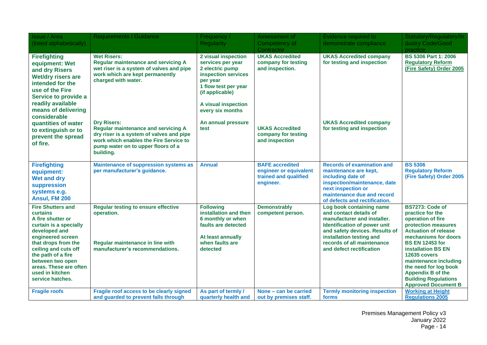| <b>Issue / Area</b><br>(listed alphabetically)                                                                                                                                                                                                                                             | Requirements / Guidance                                                                                                                                                                                   | Frequency /<br><b>Regularity</b>                                                                                                                                                     | Assessment of<br>Competency of                                                         | Evidence required to<br>demonstrate compliance                                                                                                                                                                                            | Statutory/Regulatory/In<br>dustry Code/Good                                                                                                                                                                                                                                                                                                              |
|--------------------------------------------------------------------------------------------------------------------------------------------------------------------------------------------------------------------------------------------------------------------------------------------|-----------------------------------------------------------------------------------------------------------------------------------------------------------------------------------------------------------|--------------------------------------------------------------------------------------------------------------------------------------------------------------------------------------|----------------------------------------------------------------------------------------|-------------------------------------------------------------------------------------------------------------------------------------------------------------------------------------------------------------------------------------------|----------------------------------------------------------------------------------------------------------------------------------------------------------------------------------------------------------------------------------------------------------------------------------------------------------------------------------------------------------|
|                                                                                                                                                                                                                                                                                            |                                                                                                                                                                                                           |                                                                                                                                                                                      | Contractor                                                                             |                                                                                                                                                                                                                                           | practice                                                                                                                                                                                                                                                                                                                                                 |
| <b>Firefighting</b><br>equipment: Wet<br>and dry Risers<br>Wet/dry risers are<br>intended for the<br>use of the Fire<br>Service to provide a<br>readily available<br>means of delivering<br>considerable                                                                                   | <b>Wet Risers:</b><br><b>Regular maintenance and servicing A</b><br>wet riser is a system of valves and pipe<br>work which are kept permanently<br>charged with water.                                    | 2 visual inspection<br>services per year<br>2 electric pump<br>inspection services<br>per year<br>1 flow test per year<br>(if applicable)<br>A visual inspection<br>every six months | <b>UKAS Accredited</b><br>company for testing<br>and inspection.                       | <b>UKAS Accredited company</b><br>for testing and inspection                                                                                                                                                                              | <b>BS 5306 Part 1: 2006</b><br><b>Regulatory Reform</b><br>(Fire Safety) Order 2005                                                                                                                                                                                                                                                                      |
| quantities of water<br>to extinguish or to<br>prevent the spread<br>of fire.                                                                                                                                                                                                               | <b>Dry Risers:</b><br><b>Regular maintenance and servicing A</b><br>dry riser is a system of valves and pipe<br>work which enables the Fire Service to<br>pump water on to upper floors of a<br>building. | An annual pressure<br>test                                                                                                                                                           | <b>UKAS Accredited</b><br>company for testing<br>and inspection                        | <b>UKAS Accredited company</b><br>for testing and inspection                                                                                                                                                                              |                                                                                                                                                                                                                                                                                                                                                          |
| <b>Firefighting</b><br>equipment:<br><b>Wet and dry</b><br>suppression<br>systems e.g.<br>Ansul, FM 200                                                                                                                                                                                    | <b>Maintenance of suppression systems as</b><br>per manufacturer's guidance.                                                                                                                              | <b>Annual</b>                                                                                                                                                                        | <b>BAFE</b> accredited<br>engineer or equivalent<br>trained and qualified<br>engineer. | <b>Records of examination and</b><br>maintenance are kept,<br>including date of<br>inspection/maintenance, date<br>next inspection or<br>maintenance due and record<br>of defects and rectification.                                      | <b>BS 5306</b><br><b>Regulatory Reform</b><br>(Fire Safety) Order 2005                                                                                                                                                                                                                                                                                   |
| <b>Fire Shutters and</b><br><b>curtains</b><br>A fire shutter or<br>curtain is a specially<br>developed and<br>engineered screen<br>that drops from the<br>ceiling and cuts off<br>the path of a fire<br>between two open<br>areas. These are often<br>used in kitchen<br>service hatches. | <b>Regular testing to ensure effective</b><br>operation.<br>Regular maintenance in line with<br>manufacturer's recommendations.                                                                           | <b>Following</b><br>installation and then<br>6 monthly or when<br>faults are detected<br>At least annually<br>when faults are<br>detected                                            | <b>Demonstrably</b><br>competent person.                                               | Log book containing name<br>and contact details of<br>manufacturer and installer.<br>Identification of power unit<br>and safety devices. Results of<br>installation testing and<br>records of all maintenance<br>and defect rectification | BS7273: Code of<br>practice for the<br>operation of fire<br>protection measures<br><b>Actuation of release</b><br>mechanisms for doors<br><b>BS EN 12453 for</b><br><b>installation BS EN</b><br>12635 covers<br>maintenance including<br>the need for log book<br><b>Appendix B of the</b><br><b>Building Regulations</b><br><b>Approved Document B</b> |
| <b>Fragile roofs</b>                                                                                                                                                                                                                                                                       | Fragile roof access to be clearly signed<br>and guarded to prevent falls through                                                                                                                          | As part of termly /<br>quarterly health and                                                                                                                                          | None - can be carried<br>out by premises staff.                                        | <b>Termly monitoring inspection</b><br>forms                                                                                                                                                                                              | <b>Working at Height</b><br><b>Regulations 2005</b>                                                                                                                                                                                                                                                                                                      |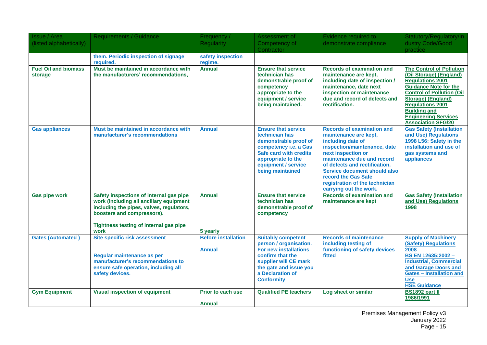| <b>Issue / Area</b><br>(listed alphabetically) | <b>Requirements / Guidance</b>                                                                                                                                                                                 | Frequency /<br><b>Regularity</b>            | Assessment of<br>Competency of<br>Contractor                                                                                                                                                        | Evidence required to<br>demonstrate compliance                                                                                                                                                                                                                                                                                 | Statutory/Regulatory/In<br>dustry Code/Good<br>practice                                                                                                                                                                                                                                       |
|------------------------------------------------|----------------------------------------------------------------------------------------------------------------------------------------------------------------------------------------------------------------|---------------------------------------------|-----------------------------------------------------------------------------------------------------------------------------------------------------------------------------------------------------|--------------------------------------------------------------------------------------------------------------------------------------------------------------------------------------------------------------------------------------------------------------------------------------------------------------------------------|-----------------------------------------------------------------------------------------------------------------------------------------------------------------------------------------------------------------------------------------------------------------------------------------------|
|                                                | them. Periodic inspection of signage<br>required.                                                                                                                                                              | safety inspection<br>regime.                |                                                                                                                                                                                                     |                                                                                                                                                                                                                                                                                                                                |                                                                                                                                                                                                                                                                                               |
| <b>Fuel Oil and biomass</b><br>storage         | Must be maintained in accordance with<br>the manufacturers' recommendations,                                                                                                                                   | <b>Annual</b>                               | <b>Ensure that service</b><br>technician has<br>demonstrable proof of<br>competency<br>appropriate to the<br>equipment / service<br>being maintained.                                               | <b>Records of examination and</b><br>maintenance are kept,<br>including date of inspection /<br>maintenance, date next<br>inspection or maintenance<br>due and record of defects and<br>rectification.                                                                                                                         | <b>The Control of Pollution</b><br>(Oil Storage) (England)<br><b>Requlations 2001</b><br><b>Guidance Note for the</b><br><b>Control of Pollution (Oil</b><br>Storage) (England)<br><b>Regulations 2001</b><br><b>Building and</b><br><b>Engineering Services</b><br><b>Association SFG/20</b> |
| <b>Gas appliances</b>                          | Must be maintained in accordance with<br>manufacturer's recommendations                                                                                                                                        | <b>Annual</b>                               | <b>Ensure that service</b><br>technician has<br>demonstrable proof of<br>competency i.e. a Gas<br>Safe card with credits<br>appropriate to the<br>equipment / service<br>being maintained           | <b>Records of examination and</b><br>maintenance are kept,<br>including date of<br>inspection/maintenance, date<br>next inspection or<br>maintenance due and record<br>of defects and rectification.<br><b>Service document should also</b><br>record the Gas Safe<br>registration of the technician<br>carrying out the work. | <b>Gas Safety (Installation</b><br>and Use) Regulations<br>1998 L56: Safety in the<br>installation and use of<br>gas systems and<br>appliances                                                                                                                                                |
| <b>Gas pipe work</b>                           | Safety inspections of internal gas pipe<br>work (including all ancillary equipment<br>including the pipes, valves, regulators,<br>boosters and compressors).<br>Tightness testing of internal gas pipe<br>work | <b>Annual</b><br>5 yearly                   | <b>Ensure that service</b><br>technician has<br>demonstrable proof of<br>competency                                                                                                                 | <b>Records of examination and</b><br>maintenance are kept                                                                                                                                                                                                                                                                      | <b>Gas Safety (Installation</b><br>and Use) Regulations<br>1998                                                                                                                                                                                                                               |
| <b>Gates (Automated)</b>                       | Site specific risk assessment<br>Regular maintenance as per<br>manufacturer's recommendations to<br>ensure safe operation, including all<br>safety devices.                                                    | <b>Before installation</b><br><b>Annual</b> | <b>Suitably competent</b><br>person / organisation.<br><b>For new installations</b><br>confirm that the<br>supplier will CE mark<br>the gate and issue you<br>a Declaration of<br><b>Conformity</b> | <b>Records of maintenance</b><br>including testing of<br>functioning of safety devices<br>fitted                                                                                                                                                                                                                               | <b>Supply of Machinery</b><br><b>(Safety) Regulations</b><br>2008<br>BS EN 12635:2002 -<br><b>Industrial, Commercial</b><br>and Garage Doors and<br><b>Gates - Installation and</b><br><b>Use</b><br><b>HSE Guidance</b>                                                                      |
| <b>Gym Equipment</b>                           | <b>Visual inspection of equipment</b>                                                                                                                                                                          | Prior to each use<br><b>Annual</b>          | <b>Qualified PE teachers</b>                                                                                                                                                                        | Log sheet or similar                                                                                                                                                                                                                                                                                                           | <b>BS1892 part II</b><br>1986/1991                                                                                                                                                                                                                                                            |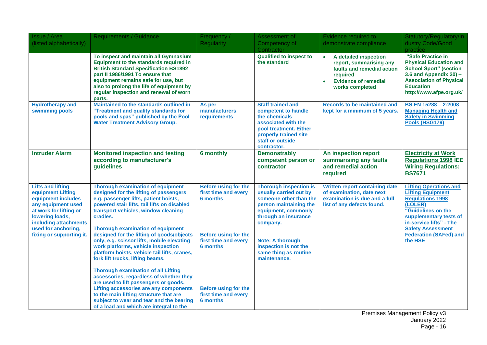| <b>Issue / Area</b><br>(listed alphabetically)                                                                                                                                                                     | <b>Requirements / Guidance</b>                                                                                                                                                                                                                                                                                                                                                                                                                                                                                                        | Frequency /<br><b>Regularity</b>                                                                                                                 | Assessment of<br>Competency of<br>Contractor                                                                                                                                                                                                                        | Evidence required to<br>demonstrate compliance                                                                                                                         | Statutory/Regulatory/In<br>dustry Code/Good<br>practice                                                                                                                                                                                            |
|--------------------------------------------------------------------------------------------------------------------------------------------------------------------------------------------------------------------|---------------------------------------------------------------------------------------------------------------------------------------------------------------------------------------------------------------------------------------------------------------------------------------------------------------------------------------------------------------------------------------------------------------------------------------------------------------------------------------------------------------------------------------|--------------------------------------------------------------------------------------------------------------------------------------------------|---------------------------------------------------------------------------------------------------------------------------------------------------------------------------------------------------------------------------------------------------------------------|------------------------------------------------------------------------------------------------------------------------------------------------------------------------|----------------------------------------------------------------------------------------------------------------------------------------------------------------------------------------------------------------------------------------------------|
|                                                                                                                                                                                                                    | To inspect and maintain all Gymnasium<br>Equipment to the standards required in<br><b>British Standard Specification BS1892</b><br>part II 1986/1991 To ensure that<br>equipment remains safe for use, but<br>also to prolong the life of equipment by<br>regular inspection and renewal of worn<br>parts.                                                                                                                                                                                                                            |                                                                                                                                                  | <b>Qualified to inspect to</b><br>the standard                                                                                                                                                                                                                      | A detailed inspection<br>$\bullet$<br>report, summarising any<br>faults and remedial action<br>required<br><b>Evidence of remedial</b><br>$\bullet$<br>works completed | "Safe Practice in<br><b>Physical Education and</b><br><b>School Sport" (section</b><br>3.6 and Appendix $20$ ) –<br><b>Association of Physical</b><br><b>Education</b><br>http://www.afpe.org.uk/                                                  |
| <b>Hydrotherapy and</b><br>swimming pools                                                                                                                                                                          | Maintained to the standards outlined in<br>"Treatment and quality standards for<br>pools and spas" published by the Pool<br><b>Water Treatment Advisory Group.</b>                                                                                                                                                                                                                                                                                                                                                                    | As per<br>manufacturers<br>requirements                                                                                                          | <b>Staff trained and</b><br>competent to handle<br>the chemicals<br>associated with the<br>pool treatment. Either<br>properly trained site<br>staff or outside<br>contractor.                                                                                       | <b>Records to be maintained and</b><br>kept for a minimum of 5 years.                                                                                                  | BS EN 15288 - 2:2008<br><b>Managing Health and</b><br><b>Safety in Swimming</b><br>Pools (HSG179)                                                                                                                                                  |
| <b>Intruder Alarm</b>                                                                                                                                                                                              | <b>Monitored inspection and testing</b><br>according to manufacturer's<br>guidelines                                                                                                                                                                                                                                                                                                                                                                                                                                                  | <b>6</b> monthly                                                                                                                                 | <b>Demonstrably</b><br>competent person or<br>contractor                                                                                                                                                                                                            | An inspection report<br>summarising any faults<br>and remedial action<br>required                                                                                      | <b>Electricity at Work</b><br><b>Regulations 1998 IEE</b><br><b>Wiring Regulations:</b><br><b>BS7671</b>                                                                                                                                           |
| <b>Lifts and lifting</b><br>equipment Lifting<br>equipment includes<br>any equipment used<br>at work for lifting or<br>lowering loads,<br>including attachments<br>used for anchoring,<br>fixing or supporting it. | Thorough examination of equipment<br>designed for the lifting of passengers<br>e.g. passenger lifts, patient hoists,<br>powered stair lifts, tail lifts on disabled<br>transport vehicles, window cleaning<br>cradles.<br><b>Thorough examination of equipment</b><br>designed for the lifting of goods/objects<br>only, e.g. scissor lifts, mobile elevating<br>work platforms, vehicle inspection<br>platform hoists, vehicle tail lifts, cranes,<br>fork lift trucks, lifting beams.<br><b>Thorough examination of all Lifting</b> | <b>Before using for the</b><br>first time and every<br><b>6 months</b><br><b>Before using for the</b><br>first time and every<br><b>6 months</b> | <b>Thorough inspection is</b><br>usually carried out by<br>someone other than the<br>person maintaining the<br>equipment, commonly<br>through an insurance<br>company.<br><b>Note: A thorough</b><br>inspection is not the<br>same thing as routine<br>maintenance. | <b>Written report containing date</b><br>of examination, date next<br>examination is due and a full<br>list of any defects found.                                      | <b>Lifting Operations and</b><br><b>Lifting Equipment</b><br><b>Regulations 1998</b><br>(LOLER)<br>"Guidelines on the<br>supplementary tests of<br>in-service lifts" - The<br><b>Safety Assessment</b><br><b>Federation (SAFed) and</b><br>the HSE |
|                                                                                                                                                                                                                    | accessories, regardless of whether they<br>are used to lift passengers or goods.<br><b>Lifting accessories are any components</b><br>to the main lifting structure that are<br>subject to wear and tear and the bearing<br>of a load and which are integral to the                                                                                                                                                                                                                                                                    | <b>Before using for the</b><br>first time and every<br>6 months                                                                                  |                                                                                                                                                                                                                                                                     |                                                                                                                                                                        |                                                                                                                                                                                                                                                    |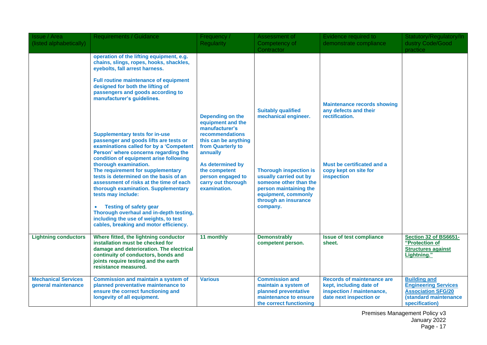| Issue / Area<br>(listed alphabetically)           | <b>Requirements / Guidance</b>                                                                                                                                                                                                                                                                                                                                                                                                                                                                                                                                                                                                                                                                                                                                                                                                                                              | Frequency<br><b>Regularity</b>                                                                                                                                                                                                      | Assessment of<br>Competency of<br>Contractor                                                                                                                                                                                | Evidence required to<br>demonstrate compliance                                                                                                     | Statutory/Regulatory/In<br>dustry Code/Good<br>practice                                                                    |
|---------------------------------------------------|-----------------------------------------------------------------------------------------------------------------------------------------------------------------------------------------------------------------------------------------------------------------------------------------------------------------------------------------------------------------------------------------------------------------------------------------------------------------------------------------------------------------------------------------------------------------------------------------------------------------------------------------------------------------------------------------------------------------------------------------------------------------------------------------------------------------------------------------------------------------------------|-------------------------------------------------------------------------------------------------------------------------------------------------------------------------------------------------------------------------------------|-----------------------------------------------------------------------------------------------------------------------------------------------------------------------------------------------------------------------------|----------------------------------------------------------------------------------------------------------------------------------------------------|----------------------------------------------------------------------------------------------------------------------------|
|                                                   | operation of the lifting equipment, e.g.<br>chains, slings, ropes, hooks, shackles,<br>eyebolts, fall arrest harness.<br><b>Full routine maintenance of equipment</b><br>designed for both the lifting of<br>passengers and goods according to<br>manufacturer's guidelines.<br><b>Supplementary tests for in-use</b><br>passenger and goods lifts are tests or<br>examinations called for by a 'Competent<br>Person' where concerns regarding the<br>condition of equipment arise following<br>thorough examination.<br>The requirement for supplementary<br>tests is determined on the basis of an<br>assessment of risks at the time of each<br>thorough examination. Supplementary<br>tests may include:<br><b>Testing of safety gear</b><br>Thorough overhaul and in-depth testing,<br>including the use of weights, to test<br>cables, breaking and motor efficiency. | Depending on the<br>equipment and the<br>manufacturer's<br>recommendations<br>this can be anything<br>from Quarterly to<br>annually<br>As determined by<br>the competent<br>person engaged to<br>carry out thorough<br>examination. | <b>Suitably qualified</b><br>mechanical engineer.<br><b>Thorough inspection is</b><br>usually carried out by<br>someone other than the<br>person maintaining the<br>equipment, commonly<br>through an insurance<br>company. | <b>Maintenance records showing</b><br>any defects and their<br>rectification.<br>Must be certificated and a<br>copy kept on site for<br>inspection |                                                                                                                            |
| <b>Lightning conductors</b>                       | Where fitted, the lightning conductor<br>installation must be checked for<br>damage and deterioration. The electrical<br>continuity of conductors, bonds and<br>joints require testing and the earth<br>resistance measured.                                                                                                                                                                                                                                                                                                                                                                                                                                                                                                                                                                                                                                                | 11 monthly                                                                                                                                                                                                                          | <b>Demonstrably</b><br>competent person.                                                                                                                                                                                    | <b>Issue of test compliance</b><br>sheet.                                                                                                          | Section 32 of BS6651-<br>"Protection of<br><b>Structures against</b><br>Lightning."                                        |
| <b>Mechanical Services</b><br>general maintenance | <b>Commission and maintain a system of</b><br>planned preventative maintenance to<br>ensure the correct functioning and<br>longevity of all equipment.                                                                                                                                                                                                                                                                                                                                                                                                                                                                                                                                                                                                                                                                                                                      | <b>Various</b>                                                                                                                                                                                                                      | <b>Commission and</b><br>maintain a system of<br>planned preventative<br>maintenance to ensure<br>the correct functioning                                                                                                   | <b>Records of maintenance are</b><br>kept, including date of<br>inspection / maintenance,<br>date next inspection or                               | <b>Building and</b><br><b>Engineering Services</b><br><b>Association SFG/20</b><br>(standard maintenance<br>specification) |

Premises Management Policy v3 January 2022 Page - 17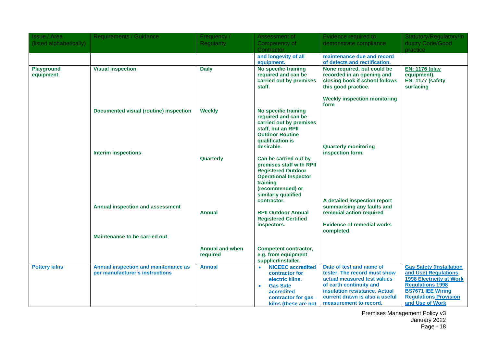| <b>Issue / Area</b>            | <b>Requirements / Guidance</b>         | Frequency /            | Assessment of                                       | Evidence required to                                      | Statutory/Regulatory/In                             |
|--------------------------------|----------------------------------------|------------------------|-----------------------------------------------------|-----------------------------------------------------------|-----------------------------------------------------|
| (listed alphabetically)        |                                        | <b>Regularity</b>      | Competency of                                       | demonstrate compliance                                    | dustry Code/Good                                    |
|                                |                                        |                        | Contractor                                          |                                                           | practice                                            |
|                                |                                        |                        | and longevity of all                                | maintenance due and record                                |                                                     |
|                                |                                        |                        | equipment.                                          | of defects and rectification.                             |                                                     |
| <b>Playground</b><br>equipment | <b>Visual inspection</b>               | <b>Daily</b>           | No specific training<br>required and can be         | None required, but could be<br>recorded in an opening and | <b>EN: 1176 (play</b><br>equipment).                |
|                                |                                        |                        | carried out by premises                             | closing book if school follows                            | <b>EN: 1177 (safety</b>                             |
|                                |                                        |                        | staff.                                              | this good practice.                                       | surfacing                                           |
|                                |                                        |                        |                                                     |                                                           |                                                     |
|                                |                                        |                        |                                                     | <b>Weekly inspection monitoring</b>                       |                                                     |
|                                | Documented visual (routine) inspection | <b>Weekly</b>          | <b>No specific training</b>                         | form                                                      |                                                     |
|                                |                                        |                        | required and can be                                 |                                                           |                                                     |
|                                |                                        |                        | carried out by premises                             |                                                           |                                                     |
|                                |                                        |                        | staff, but an RPII                                  |                                                           |                                                     |
|                                |                                        |                        | <b>Outdoor Routine</b>                              |                                                           |                                                     |
|                                |                                        |                        | qualification is<br>desirable.                      | <b>Quarterly monitoring</b>                               |                                                     |
|                                | <b>Interim inspections</b>             |                        |                                                     | inspection form.                                          |                                                     |
|                                |                                        | Quarterly              | Can be carried out by                               |                                                           |                                                     |
|                                |                                        |                        | premises staff with RPII                            |                                                           |                                                     |
|                                |                                        |                        | <b>Registered Outdoor</b>                           |                                                           |                                                     |
|                                |                                        |                        | <b>Operational Inspector</b><br>training            |                                                           |                                                     |
|                                |                                        |                        | (recommended) or                                    |                                                           |                                                     |
|                                |                                        |                        | similarly qualified                                 |                                                           |                                                     |
|                                |                                        |                        | contractor.                                         | A detailed inspection report                              |                                                     |
|                                | Annual inspection and assessment       |                        |                                                     | summarising any faults and                                |                                                     |
|                                |                                        | <b>Annual</b>          | <b>RPII Outdoor Annual</b>                          | remedial action required                                  |                                                     |
|                                |                                        |                        | <b>Registered Certified</b><br>inspectors.          | <b>Evidence of remedial works</b>                         |                                                     |
|                                |                                        |                        |                                                     | completed                                                 |                                                     |
|                                | <b>Maintenance to be carried out</b>   |                        |                                                     |                                                           |                                                     |
|                                |                                        |                        |                                                     |                                                           |                                                     |
|                                |                                        | <b>Annual and when</b> | <b>Competent contractor,</b><br>e.g. from equipment |                                                           |                                                     |
|                                |                                        | required               | supplier/installer.                                 |                                                           |                                                     |
| <b>Pottery kilns</b>           | Annual inspection and maintenance as   | <b>Annual</b>          | <b>NICEEC</b> accredited<br>$\bullet$               | Date of test and name of                                  | <b>Gas Safety (Installation</b>                     |
|                                | per manufacturer's instructions        |                        | contractor for                                      | tester. The record must show                              | and Use) Regulations                                |
|                                |                                        |                        | electric kilns.                                     | actual measured test values                               | <b>1998 Electricity at Work</b>                     |
|                                |                                        |                        | <b>Gas Safe</b><br>$\bullet$                        | of earth continuity and<br>insulation resistance. Actual  | <b>Regulations 1998</b><br><b>BS7671 IEE Wiring</b> |
|                                |                                        |                        | accredited<br>contractor for gas                    | current drawn is also a useful                            | <b>Regulations Provision</b>                        |
|                                |                                        |                        | kilns (these are not                                | measurement to record.                                    | and Use of Work                                     |

Premises Management Policy v3 January 2022 Page - 18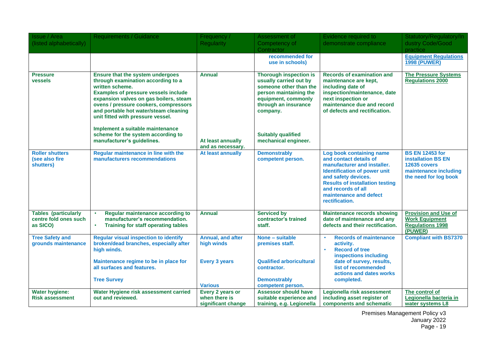| <b>Issue / Area</b>                                              | <b>Requirements / Guidance</b>                                                                                                                                                                                                                                                                                                                                                                                    | Frequency /                                                               | Assessment of                                                                                                                                                                                                               | Evidence required to                                                                                                                                                                                                                                        | Statutory/Regulatory/In                                                                                                      |
|------------------------------------------------------------------|-------------------------------------------------------------------------------------------------------------------------------------------------------------------------------------------------------------------------------------------------------------------------------------------------------------------------------------------------------------------------------------------------------------------|---------------------------------------------------------------------------|-----------------------------------------------------------------------------------------------------------------------------------------------------------------------------------------------------------------------------|-------------------------------------------------------------------------------------------------------------------------------------------------------------------------------------------------------------------------------------------------------------|------------------------------------------------------------------------------------------------------------------------------|
| (listed alphabetically)                                          |                                                                                                                                                                                                                                                                                                                                                                                                                   | <b>Regularity</b>                                                         | Competency of<br>Contractor                                                                                                                                                                                                 | demonstrate compliance                                                                                                                                                                                                                                      | dustry Code/Good<br>practice                                                                                                 |
|                                                                  |                                                                                                                                                                                                                                                                                                                                                                                                                   |                                                                           | recommended for<br>use in schools)                                                                                                                                                                                          |                                                                                                                                                                                                                                                             | <b>Equipment Regulations</b><br><b>1998 (PUWER)</b>                                                                          |
| <b>Pressure</b><br><b>vessels</b>                                | Ensure that the system undergoes<br>through examination according to a<br>written scheme.<br><b>Examples of pressure vessels include</b><br>expansion valves on gas boilers, steam<br>ovens / pressure cookers, compressors<br>and portable hot water/steam cleaning<br>unit fitted with pressure vessel.<br>Implement a suitable maintenance<br>scheme for the system according to<br>manufacturer's guidelines. | <b>Annual</b><br>At least annually<br>and as necessary.                   | <b>Thorough inspection is</b><br>usually carried out by<br>someone other than the<br>person maintaining the<br>equipment, commonly<br>through an insurance<br>company.<br><b>Suitably qualified</b><br>mechanical engineer. | <b>Records of examination and</b><br>maintenance are kept,<br>including date of<br>inspection/maintenance, date<br>next inspection or<br>maintenance due and record<br>of defects and rectification.                                                        | <b>The Pressure Systems</b><br><b>Regulations 2000</b>                                                                       |
| <b>Roller shutters</b><br>(see also fire<br>shutters)            | Regular maintenance in line with the<br>manufacturers recommendations                                                                                                                                                                                                                                                                                                                                             | At least annually                                                         | <b>Demonstrably</b><br>competent person.                                                                                                                                                                                    | Log book containing name<br>and contact details of<br>manufacturer and installer.<br><b>Identification of power unit</b><br>and safety devices.<br><b>Results of installation testing</b><br>and records of all<br>maintenance and defect<br>rectification. | <b>BS EN 12453 for</b><br><b>installation BS EN</b><br><b>12635 covers</b><br>maintenance including<br>the need for log book |
| <b>Tables (particularly</b><br>centre fold ones such<br>as SICO) | Regular maintenance according to<br>manufacturer's recommendation.<br>Training for staff operating tables                                                                                                                                                                                                                                                                                                         | <b>Annual</b>                                                             | <b>Serviced by</b><br>contractor's trained<br>staff.                                                                                                                                                                        | <b>Maintenance records showing</b><br>date of maintenance and any<br>defects and their rectification.                                                                                                                                                       | <b>Provision and Use of</b><br><b>Work Equipment</b><br><b>Regulations 1998</b><br>(PUWER)                                   |
| <b>Tree Safety and</b><br>grounds maintenance                    | <b>Regular visual inspection to identify</b><br>broken/dead branches, especially after<br>high winds.                                                                                                                                                                                                                                                                                                             | <b>Annual, and after</b><br>high winds                                    | None - suitable<br>premises staff.                                                                                                                                                                                          | <b>Records of maintenance</b><br>$\bullet$<br>activity.<br><b>Record of tree</b><br>inspections including                                                                                                                                                   | <b>Compliant with BS7370</b>                                                                                                 |
|                                                                  | Maintenance regime to be in place for<br>all surfaces and features.<br><b>Tree Survey</b>                                                                                                                                                                                                                                                                                                                         | <b>Every 3 years</b>                                                      | <b>Qualified arboricultural</b><br>contractor.<br><b>Demonstrably</b>                                                                                                                                                       | date of survey, results,<br>list of recommended<br>actions and dates works<br>completed.                                                                                                                                                                    |                                                                                                                              |
| <b>Water hygiene:</b><br><b>Risk assessment</b>                  | Water Hygiene risk assessment carried<br>out and reviewed.                                                                                                                                                                                                                                                                                                                                                        | <b>Various</b><br>Every 2 years or<br>when there is<br>significant change | competent person.<br><b>Assessor should have</b><br>suitable experience and<br>training, e.g. Legionella                                                                                                                    | Legionella risk assessment<br>including asset register of<br>components and schematic                                                                                                                                                                       | The control of<br>Legionella bacteria in<br>water systems L8                                                                 |

Premises Management Policy v3 January 2022 Page - 19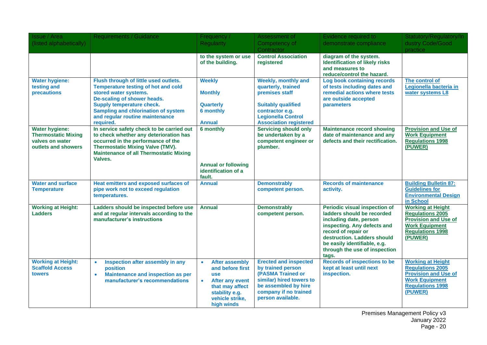| <b>Issue / Area</b>                                                                           | <b>Requirements / Guidance</b>                                                                                                                                                                                                                                  | Frequency /                                                                                                                                             | Assessment of                                                                                                                                                                    | Evidence required to                                                                                                                                                                                                                                 | Statutory/Regulatory/In                                                                                                                           |
|-----------------------------------------------------------------------------------------------|-----------------------------------------------------------------------------------------------------------------------------------------------------------------------------------------------------------------------------------------------------------------|---------------------------------------------------------------------------------------------------------------------------------------------------------|----------------------------------------------------------------------------------------------------------------------------------------------------------------------------------|------------------------------------------------------------------------------------------------------------------------------------------------------------------------------------------------------------------------------------------------------|---------------------------------------------------------------------------------------------------------------------------------------------------|
| (listed alphabetically)                                                                       |                                                                                                                                                                                                                                                                 | <b>Regularity</b>                                                                                                                                       | Competency of                                                                                                                                                                    | demonstrate compliance                                                                                                                                                                                                                               | dustry Code/Good                                                                                                                                  |
|                                                                                               |                                                                                                                                                                                                                                                                 |                                                                                                                                                         | Contractor                                                                                                                                                                       |                                                                                                                                                                                                                                                      | practice                                                                                                                                          |
|                                                                                               |                                                                                                                                                                                                                                                                 | to the system or use<br>of the building.                                                                                                                | <b>Control Association</b><br>registered                                                                                                                                         | diagram of the system.<br><b>Identification of likely risks</b><br>and measures to<br>reduce/control the hazard.                                                                                                                                     |                                                                                                                                                   |
| <b>Water hygiene:</b><br>testing and<br>precautions                                           | Flush through of little used outlets.<br><b>Temperature testing of hot and cold</b><br>stored water systems.<br>De-scaling of shower heads.<br>Supply temperature check.<br>Sampling and chlorination of system<br>and regular routine maintenance<br>required. | <b>Weekly</b><br><b>Monthly</b><br><b>Quarterly</b><br>6 monthly<br><b>Annual</b>                                                                       | <b>Weekly, monthly and</b><br>quarterly, trained<br>premises staff<br><b>Suitably qualified</b><br>contractor e.g.<br><b>Legionella Control</b><br><b>Association registered</b> | <b>Log book containing records</b><br>of tests including dates and<br>remedial actions where tests<br>are outside accepted<br>parameters                                                                                                             | The control of<br>Legionella bacteria in<br>water systems L8                                                                                      |
| <b>Water hygiene:</b><br><b>Thermostatic Mixing</b><br>valves on water<br>outlets and showers | In service safety check to be carried out<br>to check whether any deterioration has<br>occurred in the performance of the<br><b>Thermostatic Mixing Valve (TMV).</b><br><b>Maintenance of all Thermostatic Mixing</b><br>Valves.                                | 6 monthly<br><b>Annual or following</b><br>identification of a<br>fault.                                                                                | <b>Servicing should only</b><br>be undertaken by a<br>competent engineer or<br>plumber.                                                                                          | <b>Maintenance record showing</b><br>date of maintenance and any<br>defects and their rectification.                                                                                                                                                 | <b>Provision and Use of</b><br><b>Work Equipment</b><br><b>Regulations 1998</b><br>(PUWER)                                                        |
| <b>Water and surface</b><br><b>Temperature</b>                                                | Heat emitters and exposed surfaces of<br>pipe work not to exceed regulation<br>temperatures.                                                                                                                                                                    | <b>Annual</b>                                                                                                                                           | <b>Demonstrably</b><br>competent person.                                                                                                                                         | <b>Records of maintenance</b><br>activity.                                                                                                                                                                                                           | <b>Building Bulletin 87:</b><br><b>Guidelines for</b><br><b>Environmental Design</b><br>in School                                                 |
| <b>Working at Height:</b><br><b>Ladders</b>                                                   | Ladders should be inspected before use<br>and at regular intervals according to the<br>manufacturer's instructions                                                                                                                                              | <b>Annual</b>                                                                                                                                           | <b>Demonstrably</b><br>competent person.                                                                                                                                         | Periodic visual inspection of<br>ladders should be recorded<br>including date, person<br>inspecting. Any defects and<br>record of repair or<br>destruction. Ladders should<br>be easily identifiable, e.g.<br>through the use of inspection<br>tags. | <b>Working at Height</b><br><b>Regulations 2005</b><br><b>Provision and Use of</b><br><b>Work Equipment</b><br><b>Regulations 1998</b><br>(PUWER) |
| <b>Working at Height:</b><br><b>Scaffold Access</b><br><b>towers</b>                          | Inspection after assembly in any<br>$\bullet$<br>position<br>Maintenance and inspection as per<br>$\bullet$<br>manufacturer's recommendations                                                                                                                   | <b>After assembly</b><br>and before first<br><b>use</b><br><b>After any event</b><br>that may affect<br>stability e.g.<br>vehicle strike,<br>high winds | <b>Erected and inspected</b><br>by trained person<br>(PASMA Trained or<br>similar) hired towers to<br>be assembled by hire<br>company if no trained<br>person available.         | <b>Records of inspections to be</b><br>kept at least until next<br>inspection.                                                                                                                                                                       | <b>Working at Height</b><br><b>Regulations 2005</b><br><b>Provision and Use of</b><br><b>Work Equipment</b><br><b>Regulations 1998</b><br>(PUWER) |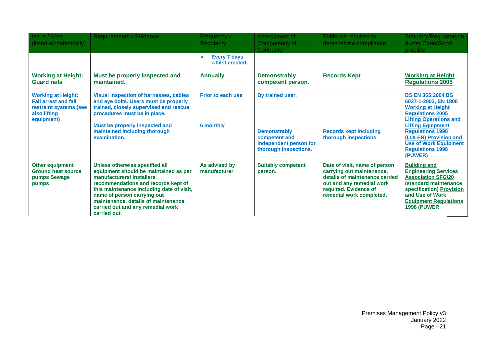| <b>Issue / Area</b><br>(listed alphabetically)                                                                   | <b>Requirements / Guidance</b>                                                                                                                                                                                                                                                                                     | Frequency /<br><b>Regularity</b>                    | Assessment of<br>Competency of<br>Contractor                                                                | Evidence required to<br>demonstrate compliance                                                                                                                                 | Statutory/Regulatory/In<br>dustry Code/Good<br>practice                                                                                                                                                                                                                                        |
|------------------------------------------------------------------------------------------------------------------|--------------------------------------------------------------------------------------------------------------------------------------------------------------------------------------------------------------------------------------------------------------------------------------------------------------------|-----------------------------------------------------|-------------------------------------------------------------------------------------------------------------|--------------------------------------------------------------------------------------------------------------------------------------------------------------------------------|------------------------------------------------------------------------------------------------------------------------------------------------------------------------------------------------------------------------------------------------------------------------------------------------|
|                                                                                                                  |                                                                                                                                                                                                                                                                                                                    | <b>Every 7 days</b><br>$\bullet$<br>whilst erected. |                                                                                                             |                                                                                                                                                                                |                                                                                                                                                                                                                                                                                                |
| <b>Working at Height:</b><br><b>Guard rails</b>                                                                  | Must be properly inspected and<br>maintained.                                                                                                                                                                                                                                                                      | <b>Annually</b>                                     | <b>Demonstrably</b><br>competent person.                                                                    | <b>Records Kept</b>                                                                                                                                                            | <b>Working at Height</b><br><b>Regulations 2005</b>                                                                                                                                                                                                                                            |
| <b>Working at Height:</b><br><b>Fall arrest and fall</b><br>restraint systems (see<br>also lifting<br>equipment) | <b>Visual inspection of harnesses, cables</b><br>and eye bolts. Users must be properly<br>trained, closely supervised and rescue<br>procedures must be in place.<br>Must be properly inspected and<br>maintained including thorough<br>examination.                                                                | <b>Prior to each use</b><br>6 monthly               | By trained user.<br><b>Demonstrably</b><br>competent and<br>independent person for<br>thorough inspections. | <b>Records kept including</b><br>thorough inspections                                                                                                                          | <b>BS EN 365:2004 BS</b><br>6037-1-2003, EN 1808<br><b>Working at Height</b><br><b>Requlations 2005</b><br><b>Lifting Operations and</b><br><b>Lifting Equipment</b><br><b>Regulations 1998</b><br>(LOLER) Provision and<br><b>Use of Work Equipment</b><br><b>Regulations 1998</b><br>(PUWER) |
| Other equipment<br><b>Ground heat source</b><br>pumps Sewage<br>pumps                                            | Unless otherwise specified all<br>equipment should be maintained as per<br>manufacturers/installers<br>recommendations and records kept of<br>this maintenance including date of visit,<br>name of person carrying out<br>maintenance, details of maintenance<br>carried out and any remedial work<br>carried out. | As advised by<br>manufacturer                       | <b>Suitably competent</b><br>person.                                                                        | Date of visit, name of person<br>carrying out maintenance,<br>details of maintenance carried<br>out and any remedial work<br>required. Evidence of<br>remedial work completed. | <b>Building and</b><br><b>Engineering Services</b><br><b>Association SFG/20</b><br>(standard maintenance<br>specification) Provision<br>and Use of Work<br><b>Equipment Regulations</b><br><b>1998 (PUWER)</b>                                                                                 |